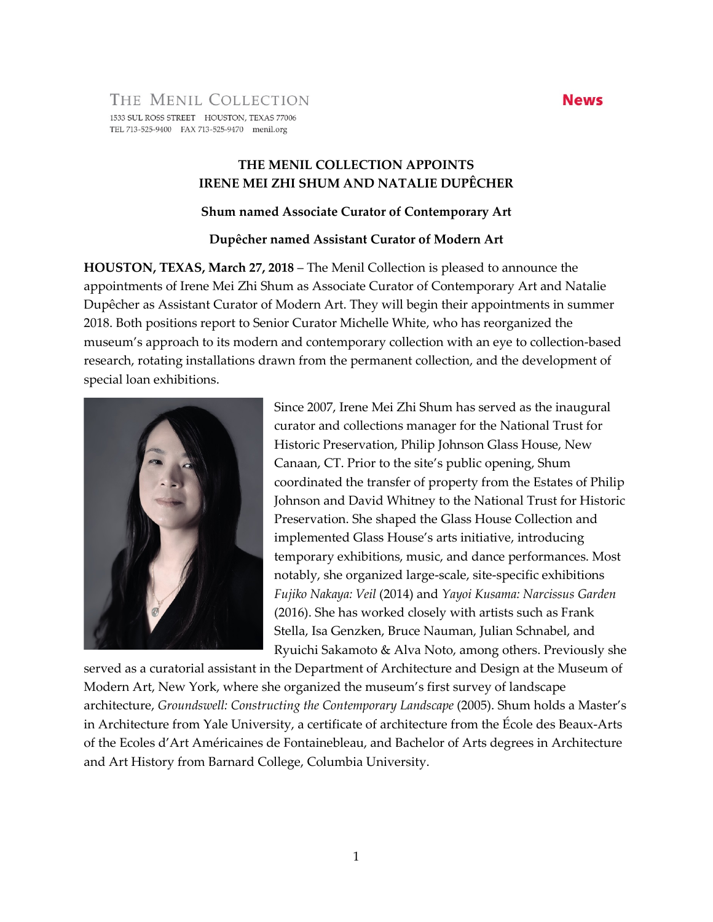### THE MENIL COLLECTION 1533 SUL ROSS STREET HOUSTON, TEXAS 77006 TEL 713-525-9400 FAX 713-525-9470 menil.org

# **THE MENIL COLLECTION APPOINTS IRENE MEI ZHI SHUM AND NATALIE DUPÊCHER**

#### **Shum named Associate Curator of Contemporary Art**

# **Dupêcher named Assistant Curator of Modern Art**

**HOUSTON, TEXAS, March 27, 2018** – The Menil Collection is pleased to announce the appointments of Irene Mei Zhi Shum as Associate Curator of Contemporary Art and Natalie Dupêcher as Assistant Curator of Modern Art. They will begin their appointments in summer 2018. Both positions report to Senior Curator Michelle White, who has reorganized the museum's approach to its modern and contemporary collection with an eye to collection-based research, rotating installations drawn from the permanent collection, and the development of special loan exhibitions.



Since 2007, Irene Mei Zhi Shum has served as the inaugural curator and collections manager for the National Trust for Historic Preservation, Philip Johnson Glass House, New Canaan, CT. Prior to the site's public opening, Shum coordinated the transfer of property from the Estates of Philip Johnson and David Whitney to the National Trust for Historic Preservation. She shaped the Glass House Collection and implemented Glass House's arts initiative, introducing temporary exhibitions, music, and dance performances. Most notably, she organized large-scale, site-specific exhibitions *Fujiko Nakaya: Veil* (2014) and *Yayoi Kusama: Narcissus Garden* (2016). She has worked closely with artists such as Frank Stella, Isa Genzken, Bruce Nauman, Julian Schnabel, and Ryuichi Sakamoto & Alva Noto, among others. Previously she

served as a curatorial assistant in the Department of Architecture and Design at the Museum of Modern Art, New York, where she organized the museum's first survey of landscape architecture, *Groundswell: Constructing the Contemporary Landscape* (2005). Shum holds a Master's in Architecture from Yale University, a certificate of architecture from the École des Beaux-Arts of the Ecoles d'Art Américaines de Fontainebleau, and Bachelor of Arts degrees in Architecture and Art History from Barnard College, Columbia University.

# **News**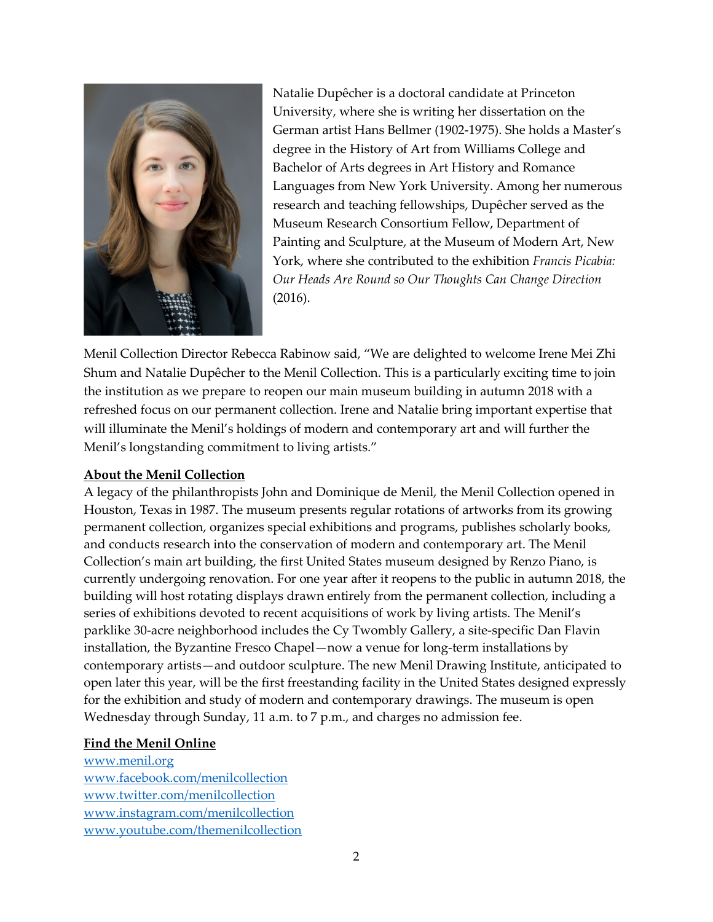

Natalie Dupêcher is a doctoral candidate at Princeton University, where she is writing her dissertation on the German artist Hans Bellmer (1902-1975). She holds a Master's degree in the History of Art from Williams College and Bachelor of Arts degrees in Art History and Romance Languages from New York University. Among her numerous research and teaching fellowships, Dupêcher served as the Museum Research Consortium Fellow, Department of Painting and Sculpture, at the Museum of Modern Art, New York, where she contributed to the exhibition *Francis Picabia: Our Heads Are Round so Our Thoughts Can Change Direction* (2016).

Menil Collection Director Rebecca Rabinow said, "We are delighted to welcome Irene Mei Zhi Shum and Natalie Dupêcher to the Menil Collection. This is a particularly exciting time to join the institution as we prepare to reopen our main museum building in autumn 2018 with a refreshed focus on our permanent collection. Irene and Natalie bring important expertise that will illuminate the Menil's holdings of modern and contemporary art and will further the Menil's longstanding commitment to living artists."

# **About the Menil Collection**

A legacy of the philanthropists John and Dominique de Menil, the Menil Collection opened in Houston, Texas in 1987. The museum presents regular rotations of artworks from its growing permanent collection, organizes special exhibitions and programs, publishes scholarly books, and conducts research into the conservation of modern and contemporary art. The Menil Collection's main art building, the first United States museum designed by Renzo Piano, is currently undergoing renovation. For one year after it reopens to the public in autumn 2018, the building will host rotating displays drawn entirely from the permanent collection, including a series of exhibitions devoted to recent acquisitions of work by living artists. The Menil's parklike 30-acre neighborhood includes the Cy Twombly Gallery, a site-specific Dan Flavin installation, the Byzantine Fresco Chapel—now a venue for long-term installations by contemporary artists—and outdoor sculpture. The new Menil Drawing Institute, anticipated to open later this year, will be the first freestanding facility in the United States designed expressly for the exhibition and study of modern and contemporary drawings. The museum is open Wednesday through Sunday, 11 a.m. to 7 p.m., and charges no admission fee.

#### **Find the Menil Online**

[www.menil.org](http://www.menil.org/) [www.facebook.com/menilcollection](http://www.facebook.com/menilcollection) [www.twitter.com/menilcollection](http://www.twitter.com/menilcollection) [www.instagram.com/menilcollection](http://www.instagram.com/menilcollection) [www.youtube.com/themenilcollection](http://www.youtube.com/themenilcollection)